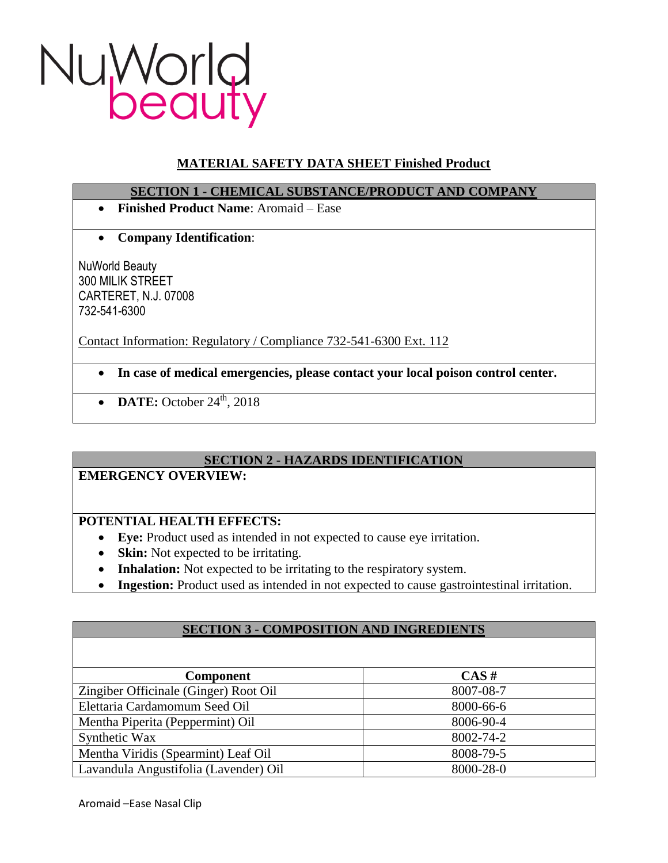

# **MATERIAL SAFETY DATA SHEET Finished Product**

### **SECTION 1 - CHEMICAL SUBSTANCE/PRODUCT AND COMPANY**

- **Finished Product Name**: Aromaid Ease
- **Company Identification**:

NuWorld Beauty 300 MILIK STREET CARTERET, N.J. 07008 732-541-6300

Contact Information: Regulatory / Compliance 732-541-6300 Ext. 112

- **In case of medical emergencies, please contact your local poison control center.**
- $\bullet$  **DATE:** October 24<sup>th</sup>, 2018

# **SECTION 2 - HAZARDS IDENTIFICATION**

# **EMERGENCY OVERVIEW:**

# **POTENTIAL HEALTH EFFECTS:**

- **Eye:** Product used as intended in not expected to cause eye irritation.
- **Skin:** Not expected to be irritating.
- **Inhalation:** Not expected to be irritating to the respiratory system.
- **Ingestion:** Product used as intended in not expected to cause gastrointestinal irritation.

### **SECTION 3 - COMPOSITION AND INGREDIENTS**

| <b>Component</b>                      | $CAS \#$        |
|---------------------------------------|-----------------|
| Zingiber Officinale (Ginger) Root Oil | 8007-08-7       |
| Elettaria Cardamomum Seed Oil         | 8000-66-6       |
| Mentha Piperita (Peppermint) Oil      | 8006-90-4       |
| Synthetic Wax                         | 8002-74-2       |
| Mentha Viridis (Spearmint) Leaf Oil   | 8008-79-5       |
| Lavandula Angustifolia (Lavender) Oil | $8000 - 28 - 0$ |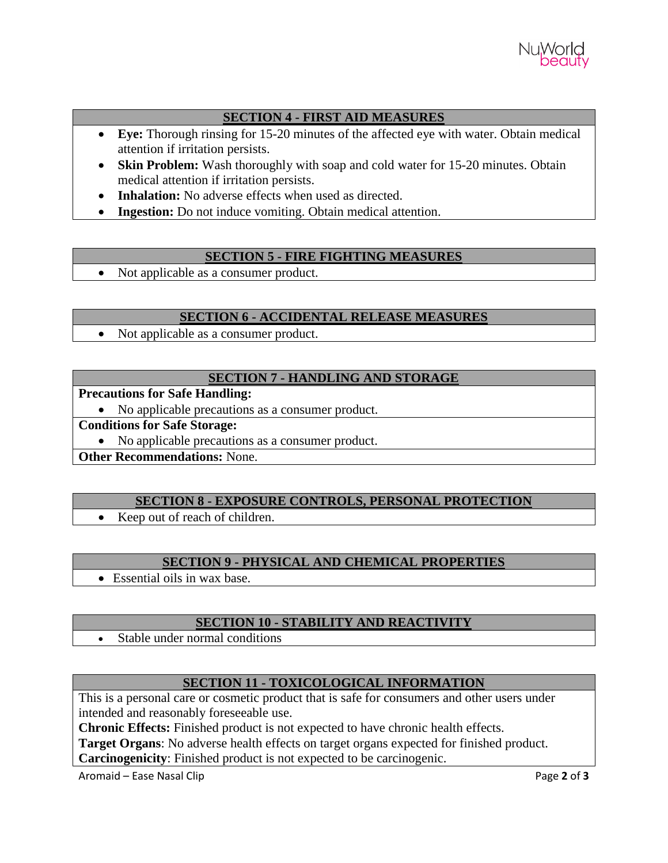

## **SECTION 4 - FIRST AID MEASURES**

- **Eye:** Thorough rinsing for 15-20 minutes of the affected eye with water. Obtain medical attention if irritation persists.
- **Skin Problem:** Wash thoroughly with soap and cold water for 15-20 minutes. Obtain medical attention if irritation persists.
- Inhalation: No adverse effects when used as directed.
- **Ingestion:** Do not induce vomiting. Obtain medical attention.

### **SECTION 5 - FIRE FIGHTING MEASURES**

• Not applicable as a consumer product.

### **SECTION 6 - ACCIDENTAL RELEASE MEASURES**

• Not applicable as a consumer product.

### **SECTION 7 - HANDLING AND STORAGE**

#### **Precautions for Safe Handling:**

• No applicable precautions as a consumer product.

**Conditions for Safe Storage:**

• No applicable precautions as a consumer product.

**Other Recommendations:** None.

# **SECTION 8 - EXPOSURE CONTROLS, PERSONAL PROTECTION**

• Keep out of reach of children.

### **SECTION 9 - PHYSICAL AND CHEMICAL PROPERTIES**

Essential oils in wax base.

### **SECTION 10 - STABILITY AND REACTIVITY**

Stable under normal conditions

# **SECTION 11 - TOXICOLOGICAL INFORMATION**

This is a personal care or cosmetic product that is safe for consumers and other users under intended and reasonably foreseeable use.

**Chronic Effects:** Finished product is not expected to have chronic health effects.

**Target Organs**: No adverse health effects on target organs expected for finished product. **Carcinogenicity**: Finished product is not expected to be carcinogenic.

Aromaid – Ease Nasal Clip **Page 2** of **3**